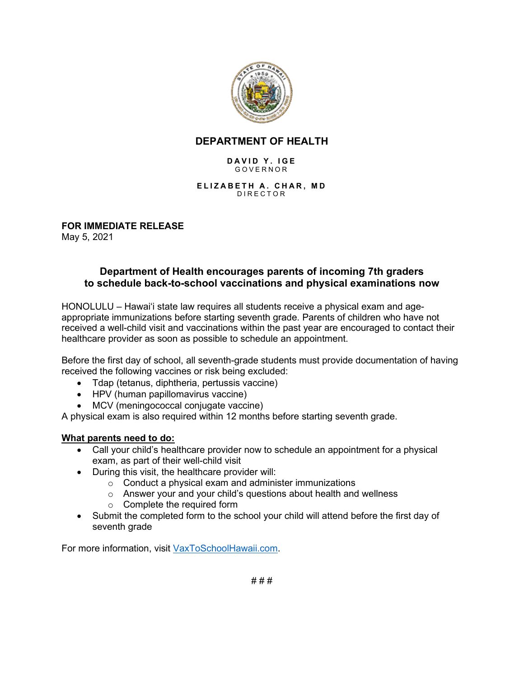

## **DEPARTMENT OF HEALTH**

#### **DAVID Y. IGE** GOVERNOR

#### **ELIZABETH A. CHAR, MD** DIRECTOR

**FOR IMMEDIATE RELEASE** May 5, 2021

## **Department of Health encourages parents of incoming 7th graders to schedule back-to-school vaccinations and physical examinations now**

HONOLULU – Hawai'i state law requires all students receive a physical exam and ageappropriate immunizations before starting seventh grade. Parents of children who have not received a well-child visit and vaccinations within the past year are encouraged to contact their healthcare provider as soon as possible to schedule an appointment.

Before the first day of school, all seventh-grade students must provide documentation of having received the following vaccines or risk being excluded:

- Tdap (tetanus, diphtheria, pertussis vaccine)
- HPV (human papillomavirus vaccine)
- MCV (meningococcal conjugate vaccine)

A physical exam is also required within 12 months before starting seventh grade.

#### **What parents need to do:**

- Call your child's healthcare provider now to schedule an appointment for a physical exam, as part of their well-child visit
- During this visit, the healthcare provider will:
	- $\circ$  Conduct a physical exam and administer immunizations
	- o Answer your and your child's questions about health and wellness
	- o Complete the required form
- Submit the completed form to the school your child will attend before the first day of seventh grade

For more information, visit [VaxToSchoolHawaii.com.](http://vaxtoschoolhawaii.com/)